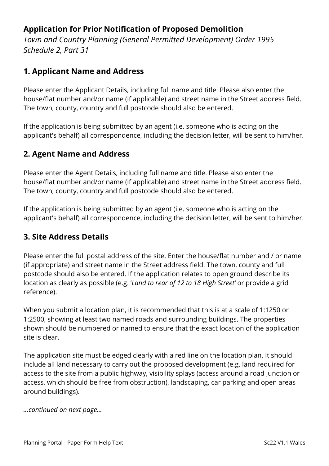### **Application for Prior Notification of Proposed Demolition**

*Town and Country Planning (General Permitted Development) Order 1995 Schedule 2, Part 31*

#### **1. Applicant Name and Address**

Please enter the Applicant Details, including full name and title. Please also enter the house/flat number and/or name (if applicable) and street name in the Street address field. The town, county, country and full postcode should also be entered.

If the application is being submitted by an agent (i.e. someone who is acting on the applicant's behalf) all correspondence, including the decision letter, will be sent to him/her.

### **2. Agent Name and Address**

Please enter the Agent Details, including full name and title. Please also enter the house/flat number and/or name (if applicable) and street name in the Street address field. The town, county, country and full postcode should also be entered.

If the application is being submitted by an agent (i.e. someone who is acting on the applicant's behalf) all correspondence, including the decision letter, will be sent to him/her.

#### **3. Site Address Details**

Please enter the full postal address of the site. Enter the house/flat number and / or name (if appropriate) and street name in the Street address field. The town, county and full postcode should also be entered. If the application relates to open ground describe its location as clearly as possible (e.g. '*Land to rear of 12 to 18 High Street'* or provide a grid reference).

When you submit a location plan, it is recommended that this is at a scale of 1:1250 or 1:2500, showing at least two named roads and surrounding buildings. The properties shown should be numbered or named to ensure that the exact location of the application site is clear.

The application site must be edged clearly with a red line on the location plan. It should include all land necessary to carry out the proposed development (e.g. land required for access to the site from a public highway, visibility splays (access around a road junction or access, which should be free from obstruction), landscaping, car parking and open areas around buildings).

*…continued on next page…*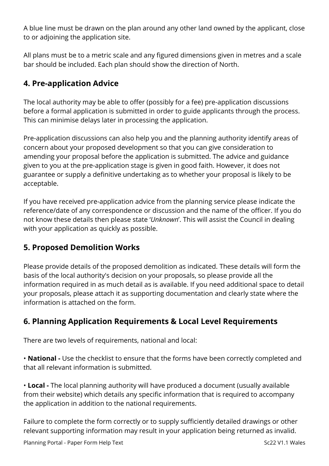A blue line must be drawn on the plan around any other land owned by the applicant, close to or adjoining the application site.

All plans must be to a metric scale and any figured dimensions given in metres and a scale bar should be included. Each plan should show the direction of North.

## **4. Pre-application Advice**

The local authority may be able to offer (possibly for a fee) pre-application discussions before a formal application is submitted in order to guide applicants through the process. This can minimise delays later in processing the application.

Pre-application discussions can also help you and the planning authority identify areas of concern about your proposed development so that you can give consideration to amending your proposal before the application is submitted. The advice and guidance given to you at the pre-application stage is given in good faith. However, it does not guarantee or supply a definitive undertaking as to whether your proposal is likely to be acceptable.

If you have received pre-application advice from the planning service please indicate the reference/date of any correspondence or discussion and the name of the officer. If you do not know these details then please state '*Unknown*'. This will assist the Council in dealing with your application as quickly as possible.

### **5. Proposed Demolition Works**

Please provide details of the proposed demolition as indicated. These details will form the basis of the local authority's decision on your proposals, so please provide all the information required in as much detail as is available. If you need additional space to detail your proposals, please attach it as supporting documentation and clearly state where the information is attached on the form.

### **6. Planning Application Requirements & Local Level Requirements**

There are two levels of requirements, national and local:

• **National -** Use the checklist to ensure that the forms have been correctly completed and that all relevant information is submitted.

• **Local -** The local planning authority will have produced a document (usually available from their website) which details any specific information that is required to accompany the application in addition to the national requirements.

Failure to complete the form correctly or to supply sufficiently detailed drawings or other relevant supporting information may result in your application being returned as invalid.